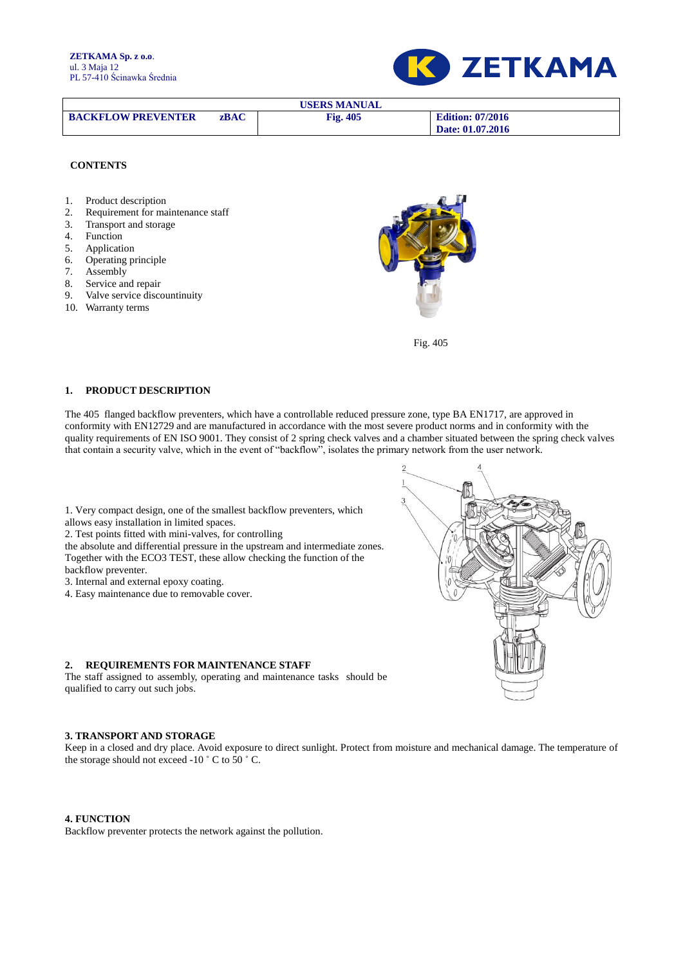**ZETKAMA Sp. z o.o**. ul. 3 Maja 12 PL 57-410 Ścinawka Średnia



| USERS MANUAL              |             |                 |                         |  |  |  |
|---------------------------|-------------|-----------------|-------------------------|--|--|--|
| <b>BACKFLOW PREVENTER</b> | <b>zBAC</b> | <b>Fig. 405</b> | <b>Edition: 07/2016</b> |  |  |  |
|                           |             |                 | Date: 01.07.2016        |  |  |  |

#### **CONTENTS**

- 1. Product description
- 2. Requirement for maintenance staff
- 3. Transport and storage
- 4. Function
- 5. Application
- 6. Operating principle
- 7. Assembly
- 8. Service and repair
- 9. Valve service discountinuity
- 10. Warranty terms
- 



Fig. 405

## **1. PRODUCT DESCRIPTION**

The 405 flanged backflow preventers, which have a controllable reduced pressure zone, type BA EN1717, are approved in conformity with EN12729 and are manufactured in accordance with the most severe product norms and in conformity with the quality requirements of EN ISO 9001. They consist of 2 spring check valves and a chamber situated between the spring check valves that contain a security valve, which in the event of "backflow", isolates the primary network from the user network.

1. Very compact design, one of the smallest backflow preventers, which allows easy installation in limited spaces.

2. Test points fitted with mini-valves, for controlling

the absolute and differential pressure in the upstream and intermediate zones. Together with the ECO3 TEST, these allow checking the function of the backflow preventer.

3. Internal and external epoxy coating.

4. Easy maintenance due to removable cover.

#### **2. REQUIREMENTS FOR MAINTENANCE STAFF**

The staff assigned to assembly, operating and maintenance tasks should be qualified to carry out such jobs.

### **3. TRANSPORT AND STORAGE**

Keep in a closed and dry place. Avoid exposure to direct sunlight. Protect from moisture and mechanical damage. The temperature of the storage should not exceed -10 ˚ C to 50 ˚ C.

#### **4. FUNCTION**

Backflow preventer protects the network against the pollution.

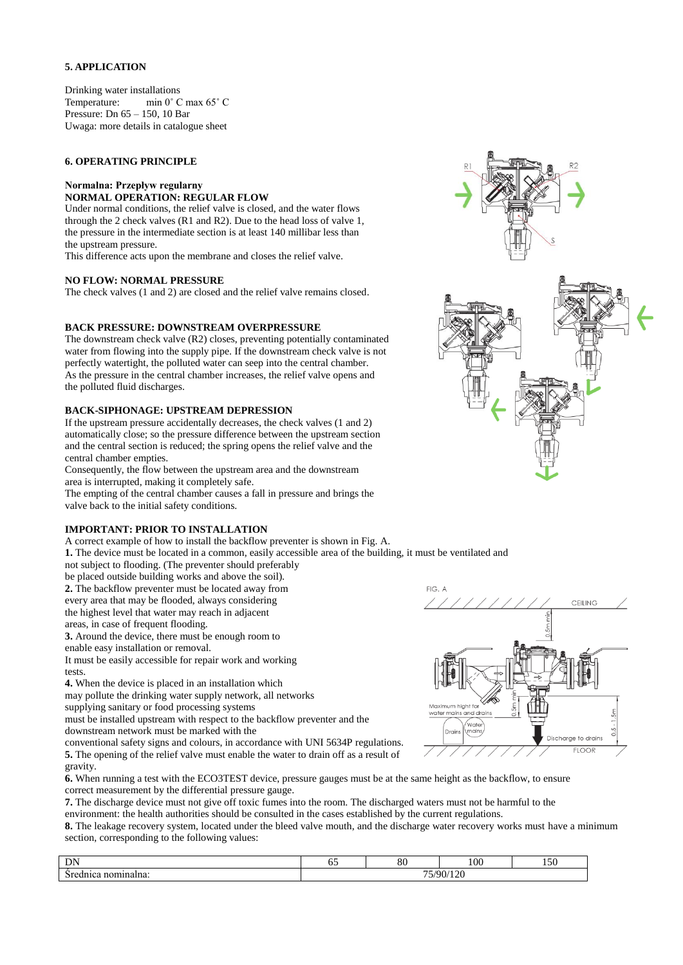## **5. APPLICATION**

Drinking water installations Temperature: min 0˚ C max 65˚ C Pressure: Dn 65 – 150, 10 Bar Uwaga: more details in catalogue sheet

## **6. OPERATING PRINCIPLE**

#### **Normalna: Przepływ regularny NORMAL OPERATION: REGULAR FLOW**

Under normal conditions, the relief valve is closed, and the water flows through the 2 check valves (R1 and R2). Due to the head loss of valve 1, the pressure in the intermediate section is at least 140 millibar less than the upstream pressure.

This difference acts upon the membrane and closes the relief valve.

#### **NO FLOW: NORMAL PRESSURE**

The check valves (1 and 2) are closed and the relief valve remains closed.

#### **BACK PRESSURE: DOWNSTREAM OVERPRESSURE**

The downstream check valve (R2) closes, preventing potentially contaminated water from flowing into the supply pipe. If the downstream check valve is not perfectly watertight, the polluted water can seep into the central chamber. As the pressure in the central chamber increases, the relief valve opens and the polluted fluid discharges.

## **BACK-SIPHONAGE: UPSTREAM DEPRESSION**

If the upstream pressure accidentally decreases, the check valves (1 and 2) automatically close; so the pressure difference between the upstream section and the central section is reduced; the spring opens the relief valve and the central chamber empties.

Consequently, the flow between the upstream area and the downstream area is interrupted, making it completely safe.

The empting of the central chamber causes a fall in pressure and brings the valve back to the initial safety conditions.

## **IMPORTANT: PRIOR TO INSTALLATION**

A correct example of how to install the backflow preventer is shown in Fig. A.

**1.** The device must be located in a common, easily accessible area of the building, it must be ventilated and

not subject to flooding. (The preventer should preferably

be placed outside building works and above the soil). **2.** The backflow preventer must be located away from

every area that may be flooded, always considering

the highest level that water may reach in adjacent

areas, in case of frequent flooding.

**3.** Around the device, there must be enough room to

enable easy installation or removal.

It must be easily accessible for repair work and working tests.

**4.** When the device is placed in an installation which

may pollute the drinking water supply network, all networks

supplying sanitary or food processing systems

must be installed upstream with respect to the backflow preventer and the downstream network must be marked with the

conventional safety signs and colours, in accordance with UNI 5634P regulations. **5.** The opening of the relief valve must enable the water to drain off as a result of gravity.







**6.** When running a test with the ECO3TEST device, pressure gauges must be at the same height as the backflow, to ensure correct measurement by the differential pressure gauge.

**7.** The discharge device must not give off toxic fumes into the room. The discharged waters must not be harmful to the environment: the health authorities should be consulted in the cases established by the current regulations.

**8.** The leakage recovery system, located under the bleed valve mouth, and the discharge water recovery works must have a minimum section, corresponding to the following values:

| $\mathbf{L}$<br>חו<br>- 1213 | - -<br>r.<br>O.                | oc<br>οu | 100 | $\cdot$ $\sim$ $\sim$<br>UC 1 |  |
|------------------------------|--------------------------------|----------|-----|-------------------------------|--|
| nominalna:<br>ednica         | 112C<br>75/90/<br>14 U<br>ىر . |          |     |                               |  |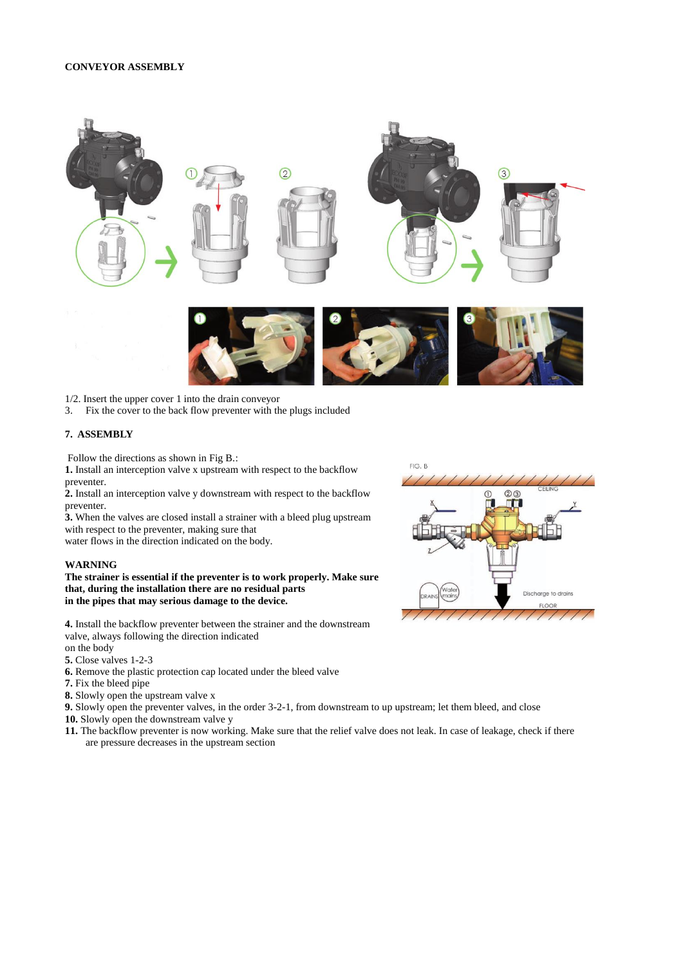#### **CONVEYOR ASSEMBLY**



- 1/2. Insert the upper cover 1 into the drain conveyor
- 3. Fix the cover to the back flow preventer with the plugs included

## **7. ASSEMBLY**

Follow the directions as shown in Fig B.:

**1.** Install an interception valve x upstream with respect to the backflow preventer.

**2.** Install an interception valve y downstream with respect to the backflow preventer.

**3.** When the valves are closed install a strainer with a bleed plug upstream with respect to the preventer, making sure that

water flows in the direction indicated on the body.

### **WARNING**

**The strainer is essential if the preventer is to work properly. Make sure that, during the installation there are no residual parts in the pipes that may serious damage to the device.**

**4.** Install the backflow preventer between the strainer and the downstream valve, always following the direction indicated

- on the body
- **5.** Close valves 1-2-3
- **6.** Remove the plastic protection cap located under the bleed valve
- **7.** Fix the bleed pipe

**8.** Slowly open the upstream valve x

**9.** Slowly open the preventer valves, in the order 3-2-1, from downstream to up upstream; let them bleed, and close

- **10.** Slowly open the downstream valve y
- **11.** The backflow preventer is now working. Make sure that the relief valve does not leak. In case of leakage, check if there are pressure decreases in the upstream section